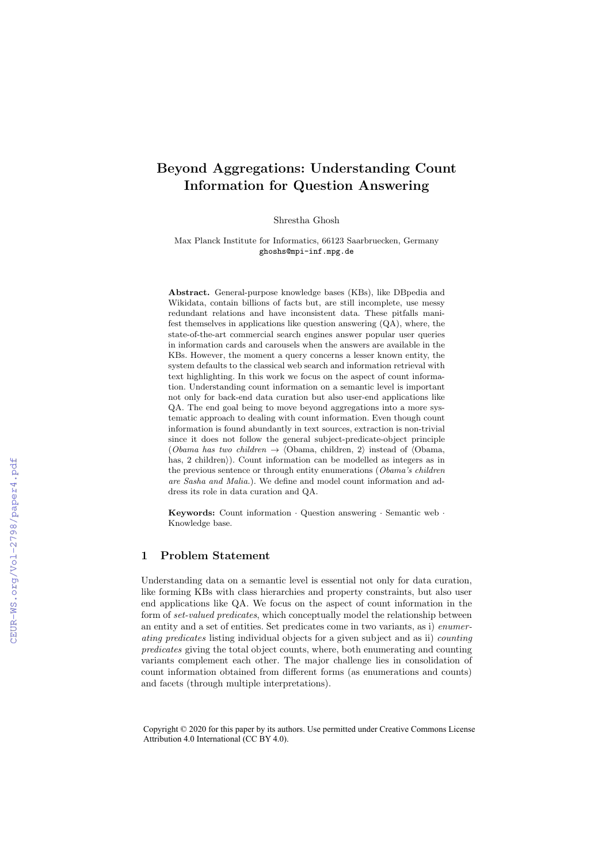# Beyond Aggregations: Understanding Count Information for Question Answering

Shrestha Ghosh

Max Planck Institute for Informatics, 66123 Saarbruecken, Germany ghoshs@mpi-inf.mpg.de

Abstract. General-purpose knowledge bases (KBs), like DBpedia and Wikidata, contain billions of facts but, are still incomplete, use messy redundant relations and have inconsistent data. These pitfalls manifest themselves in applications like question answering (QA), where, the state-of-the-art commercial search engines answer popular user queries in information cards and carousels when the answers are available in the KBs. However, the moment a query concerns a lesser known entity, the system defaults to the classical web search and information retrieval with text highlighting. In this work we focus on the aspect of count information. Understanding count information on a semantic level is important not only for back-end data curation but also user-end applications like QA. The end goal being to move beyond aggregations into a more systematic approach to dealing with count information. Even though count information is found abundantly in text sources, extraction is non-trivial since it does not follow the general subject-predicate-object principle (*Obama has two children*  $\rightarrow$   $\langle$ Obama, children, 2 $\rangle$  instead of  $\langle$ Obama, has,  $2$  children). Count information can be modelled as integers as in the previous sentence or through entity enumerations (*Obama's children are Sasha and Malia.*). We define and model count information and address its role in data curation and QA.

Keywords: Count information *·* Question answering *·* Semantic web *·* Knowledge base.

# 1 Problem Statement

Understanding data on a semantic level is essential not only for data curation, like forming KBs with class hierarchies and property constraints, but also user end applications like QA. We focus on the aspect of count information in the form of *set-valued predicates*, which conceptually model the relationship between an entity and a set of entities. Set predicates come in two variants, as i) *enumerating predicates* listing individual objects for a given subject and as ii) *counting predicates* giving the total object counts, where, both enumerating and counting variants complement each other. The major challenge lies in consolidation of count information obtained from different forms (as enumerations and counts) and facets (through multiple interpretations).

Copyright © 2020 for this paper by its authors. Use permitted under Creative Commons License Attribution 4.0 International (CC BY 4.0).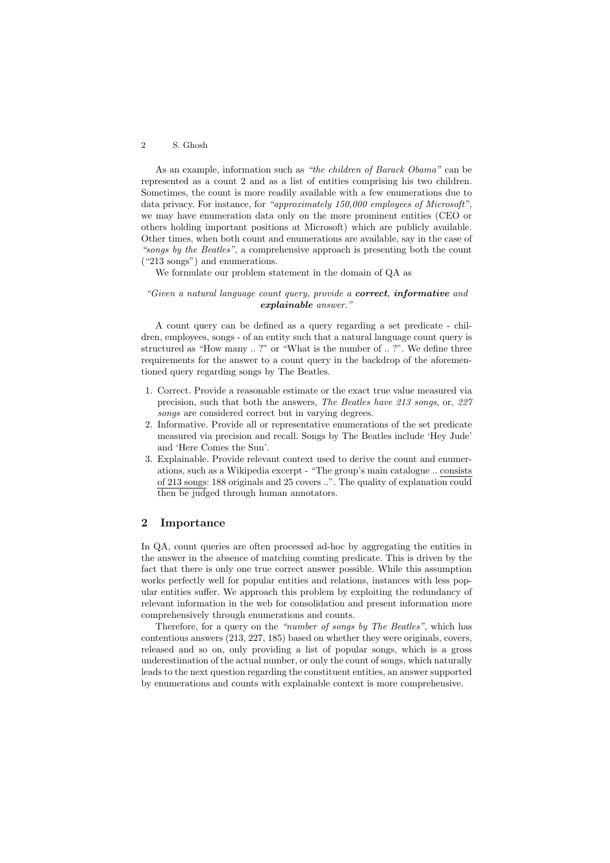#### 2 S. Ghosh

As an example, information such as *"the children of Barack Obama"* can be represented as a count 2 and as a list of entities comprising his two children. Sometimes, the count is more readily available with a few enumerations due to data privacy. For instance, for *"approximately 150,000 employees of Microsoft"*, we may have enumeration data only on the more prominent entities (CEO or others holding important positions at Microsoft) which are publicly available. Other times, when both count and enumerations are available, say in the case of *"songs by the Beatles"*, a comprehensive approach is presenting both the count ("213 songs") and enumerations.

We formulate our problem statement in the domain of QA as

#### *"Given a natural language count query, provide a correct, informative and explainable answer."*

A count query can be defined as a query regarding a set predicate - children, employees, songs - of an entity such that a natural language count query is structured as "How many .. ?" or "What is the number of .. ?". We define three requirements for the answer to a count query in the backdrop of the aforementioned query regarding songs by The Beatles.

- 1. Correct. Provide a reasonable estimate or the exact true value measured via precision, such that both the answers, *The Beatles have 213 songs*, or, *227 songs* are considered correct but in varying degrees.
- 2. Informative. Provide all or representative enumerations of the set predicate measured via precision and recall. Songs by The Beatles include 'Hey Jude' and 'Here Comes the Sun'.
- 3. Explainable. Provide relevant context used to derive the count and enumerations, such as a Wikipedia excerpt - "The group's main catalogue .. consists of 213 songs: 188 originals and 25 covers ..". The quality of explanation could then be judged through human annotators.

## 2 Importance

In QA, count queries are often processed ad-hoc by aggregating the entities in the answer in the absence of matching counting predicate. This is driven by the fact that there is only one true correct answer possible. While this assumption works perfectly well for popular entities and relations, instances with less popular entities suffer. We approach this problem by exploiting the redundancy of relevant information in the web for consolidation and present information more comprehensively through enumerations and counts.

Therefore, for a query on the *"number of songs by The Beatles"*, which has contentious answers (213, 227, 185) based on whether they were originals, covers, released and so on, only providing a list of popular songs, which is a gross underestimation of the actual number, or only the count of songs, which naturally leads to the next question regarding the constituent entities, an answer supported by enumerations and counts with explainable context is more comprehensive.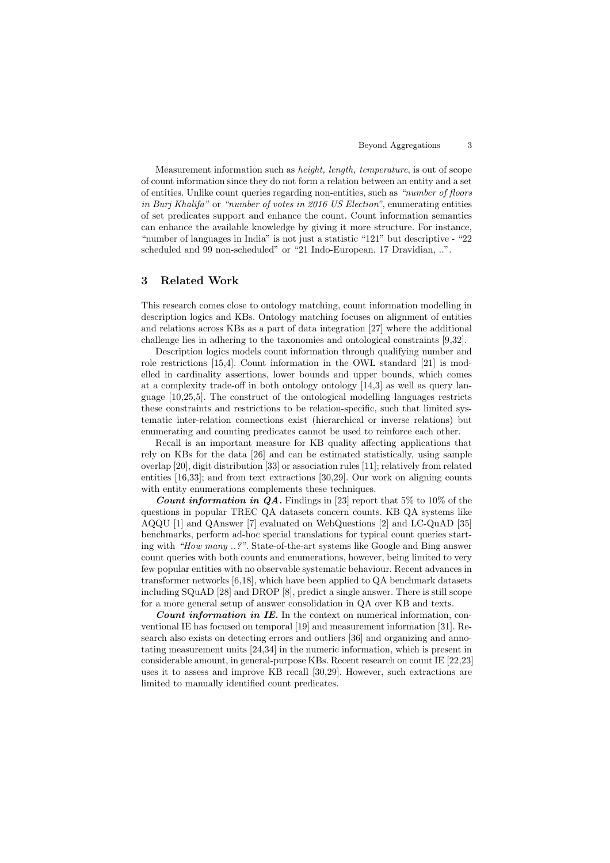Measurement information such as *height, length, temperature*, is out of scope of count information since they do not form a relation between an entity and a set of entities. Unlike count queries regarding non-entities, such as *"number of floors in Burj Khalifa"* or *"number of votes in 2016 US Election"*, enumerating entities of set predicates support and enhance the count. Count information semantics can enhance the available knowledge by giving it more structure. For instance, "number of languages in India" is not just a statistic "121" but descriptive - "22 scheduled and 99 non-scheduled" or "21 Indo-European, 17 Dravidian, ..".

## 3 Related Work

This research comes close to ontology matching, count information modelling in description logics and KBs. Ontology matching focuses on alignment of entities and relations across KBs as a part of data integration [27] where the additional challenge lies in adhering to the taxonomies and ontological constraints [9,32].

Description logics models count information through qualifying number and role restrictions [15,4]. Count information in the OWL standard [21] is modelled in cardinality assertions, lower bounds and upper bounds, which comes at a complexity trade-off in both ontology ontology  $[14,3]$  as well as query language [10,25,5]. The construct of the ontological modelling languages restricts these constraints and restrictions to be relation-specific, such that limited systematic inter-relation connections exist (hierarchical or inverse relations) but enumerating and counting predicates cannot be used to reinforce each other.

Recall is an important measure for KB quality affecting applications that rely on KBs for the data [26] and can be estimated statistically, using sample overlap [20], digit distribution [33] or association rules [11]; relatively from related entities [16,33]; and from text extractions [30,29]. Our work on aligning counts with entity enumerations complements these techniques.

**Count information in QA.** Findings in [23] report that 5% to 10% of the questions in popular TREC QA datasets concern counts. KB QA systems like AQQU [1] and QAnswer [7] evaluated on WebQuestions [2] and LC-QuAD [35] benchmarks, perform ad-hoc special translations for typical count queries starting with *"How many ..?"*. State-of-the-art systems like Google and Bing answer count queries with both counts and enumerations, however, being limited to very few popular entities with no observable systematic behaviour. Recent advances in transformer networks [6,18], which have been applied to QA benchmark datasets including SQuAD [28] and DROP [8], predict a single answer. There is still scope for a more general setup of answer consolidation in QA over KB and texts.

*Count information in IE.* In the context on numerical information, conventional IE has focused on temporal [19] and measurement information [31]. Research also exists on detecting errors and outliers [36] and organizing and annotating measurement units [24,34] in the numeric information, which is present in considerable amount, in general-purpose KBs. Recent research on count IE [22,23] uses it to assess and improve KB recall [30,29]. However, such extractions are limited to manually identified count predicates.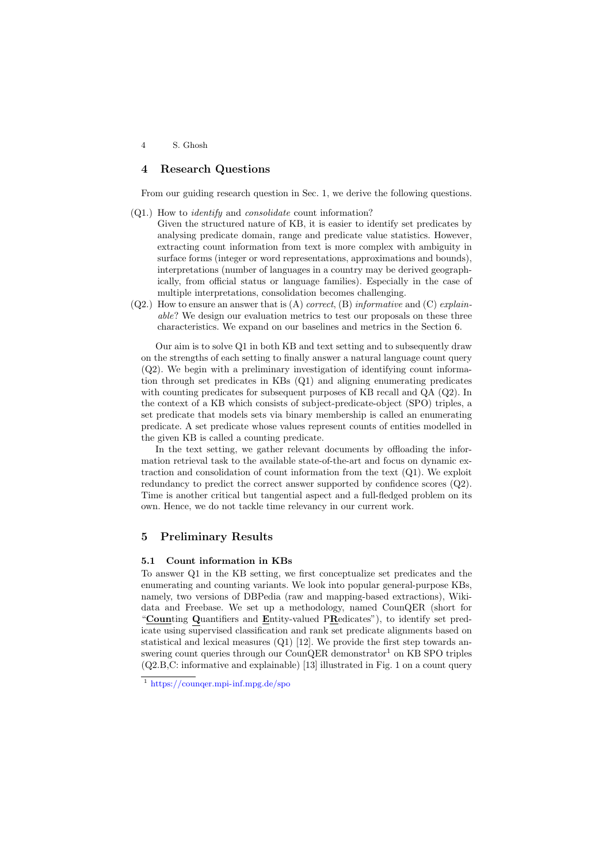4 S. Ghosh

#### 4 Research Questions

From our guiding research question in Sec. 1, we derive the following questions.

- (Q1.) How to *identify* and *consolidate* count information?
	- Given the structured nature of KB, it is easier to identify set predicates by analysing predicate domain, range and predicate value statistics. However, extracting count information from text is more complex with ambiguity in surface forms (integer or word representations, approximations and bounds), interpretations (number of languages in a country may be derived geographically, from official status or language families). Especially in the case of multiple interpretations, consolidation becomes challenging.
- (Q2.) How to ensure an answer that is (A) *correct*, (B) *informative* and (C) *explainable*? We design our evaluation metrics to test our proposals on these three characteristics. We expand on our baselines and metrics in the Section 6.

Our aim is to solve Q1 in both KB and text setting and to subsequently draw on the strengths of each setting to finally answer a natural language count query  $(Q2)$ . We begin with a preliminary investigation of identifying count information through set predicates in KBs (Q1) and aligning enumerating predicates with counting predicates for subsequent purposes of KB recall and QA (Q2). In the context of a KB which consists of subject-predicate-object (SPO) triples, a set predicate that models sets via binary membership is called an enumerating predicate. A set predicate whose values represent counts of entities modelled in the given KB is called a counting predicate.

In the text setting, we gather relevant documents by offloading the information retrieval task to the available state-of-the-art and focus on dynamic extraction and consolidation of count information from the text (Q1). We exploit redundancy to predict the correct answer supported by confidence scores (Q2). Time is another critical but tangential aspect and a full-fledged problem on its own. Hence, we do not tackle time relevancy in our current work.

## 5 Preliminary Results

#### 5.1 Count information in KBs

To answer Q1 in the KB setting, we first conceptualize set predicates and the enumerating and counting variants. We look into popular general-purpose KBs, namely, two versions of DBPedia (raw and mapping-based extractions), Wikidata and Freebase. We set up a methodology, named CounQER (short for "Counting Quantifiers and Entity-valued PRedicates"), to identify set predicate using supervised classification and rank set predicate alignments based on statistical and lexical measures (Q1) [12]. We provide the first step towards answering count queries through our CounQER demonstrator<sup>1</sup> on KB SPO triples (Q2.B,C: informative and explainable) [13] illustrated in Fig. 1 on a count query

<sup>1</sup> https://counqer.mpi-inf.mpg.de/spo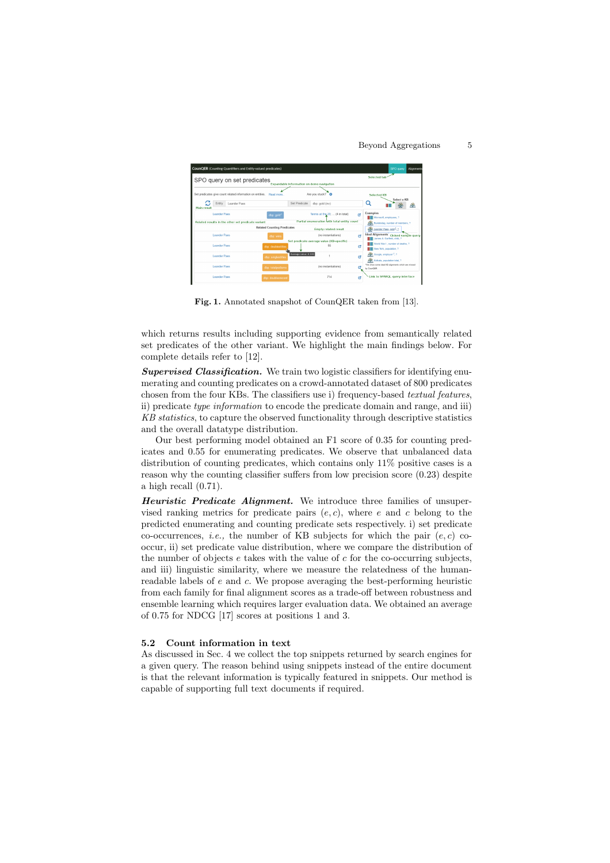Beyond Aggregations 5



Fig. 1. Annotated snapshot of CounQER taken from [13].

which returns results including supporting evidence from semantically related set predicates of the other variant. We highlight the main findings below. For complete details refer to [12].

*Supervised Classification.* We train two logistic classifiers for identifying enumerating and counting predicates on a crowd-annotated dataset of 800 predicates chosen from the four KBs. The classifiers use i) frequency-based *textual features*, ii) predicate *type information* to encode the predicate domain and range, and iii) *KB statistics*, to capture the observed functionality through descriptive statistics and the overall datatype distribution.

Our best performing model obtained an F1 score of 0.35 for counting predicates and 0.55 for enumerating predicates. We observe that unbalanced data distribution of counting predicates, which contains only 11% positive cases is a reason why the counting classifier suffers from low precision score  $(0.23)$  despite a high recall (0.71).

*Heuristic Predicate Alignment.* We introduce three families of unsupervised ranking metrics for predicate pairs  $(e, c)$ , where  $e$  and  $c$  belong to the predicted enumerating and counting predicate sets respectively. i) set predicate co-occurrences, *i.e.*, the number of KB subjects for which the pair  $(e, c)$  cooccur, ii) set predicate value distribution, where we compare the distribution of the number of objects *e* takes with the value of *c* for the co-occurring subjects, and iii) linguistic similarity, where we measure the relatedness of the humanreadable labels of *e* and *c*. We propose averaging the best-performing heuristic from each family for final alignment scores as a trade-off between robustness and ensemble learning which requires larger evaluation data. We obtained an average of 0.75 for NDCG [17] scores at positions 1 and 3.

#### 5.2 Count information in text

As discussed in Sec. 4 we collect the top snippets returned by search engines for a given query. The reason behind using snippets instead of the entire document is that the relevant information is typically featured in snippets. Our method is capable of supporting full text documents if required.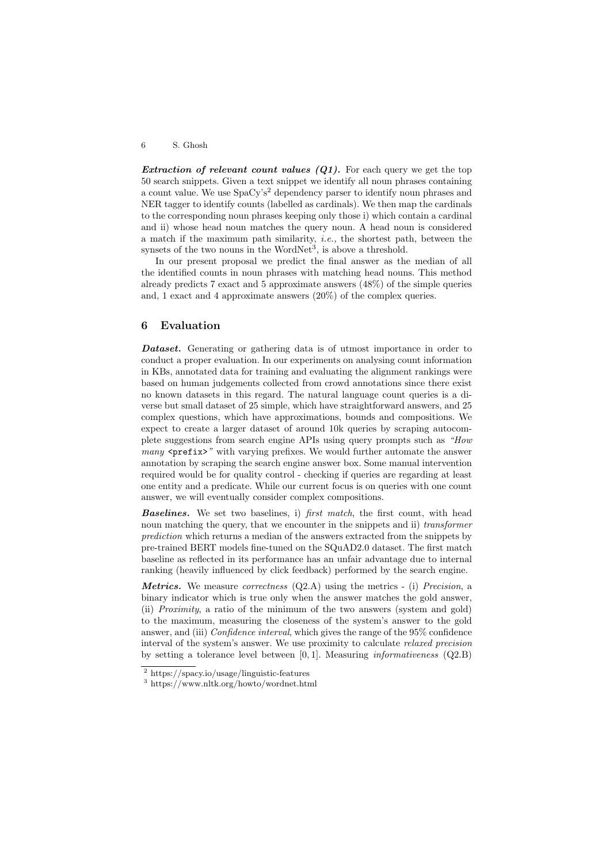6 S. Ghosh

*Extraction of relevant count values (Q1).* For each query we get the top 50 search snippets. Given a text snippet we identify all noun phrases containing a count value. We use  $SpaCv's<sup>2</sup>$  dependency parser to identify noun phrases and NER tagger to identify counts (labelled as cardinals). We then map the cardinals to the corresponding noun phrases keeping only those i) which contain a cardinal and ii) whose head noun matches the query noun. A head noun is considered a match if the maximum path similarity, *i.e.,* the shortest path, between the synsets of the two nouns in the WordNet<sup>3</sup>, is above a threshold.

In our present proposal we predict the final answer as the median of all the identified counts in noun phrases with matching head nouns. This method already predicts 7 exact and 5 approximate answers (48%) of the simple queries and, 1 exact and 4 approximate answers (20%) of the complex queries.

## 6 Evaluation

*Dataset.* Generating or gathering data is of utmost importance in order to conduct a proper evaluation. In our experiments on analysing count information in KBs, annotated data for training and evaluating the alignment rankings were based on human judgements collected from crowd annotations since there exist no known datasets in this regard. The natural language count queries is a diverse but small dataset of 25 simple, which have straightforward answers, and 25 complex questions, which have approximations, bounds and compositions. We expect to create a larger dataset of around 10k queries by scraping autocomplete suggestions from search engine APIs using query prompts such as *"How many*  $\epsilon$  **prefix>** *"* with varying prefixes. We would further automate the answer annotation by scraping the search engine answer box. Some manual intervention required would be for quality control - checking if queries are regarding at least one entity and a predicate. While our current focus is on queries with one count answer, we will eventually consider complex compositions.

*Baselines.* We set two baselines, i) *first match*, the first count, with head noun matching the query, that we encounter in the snippets and ii) *transformer prediction* which returns a median of the answers extracted from the snippets by pre-trained BERT models fine-tuned on the SQuAD2.0 dataset. The first match baseline as reflected in its performance has an unfair advantage due to internal ranking (heavily influenced by click feedback) performed by the search engine.

*Metrics.* We measure *correctness* (Q2.A) using the metrics - (i) *Precision*, a binary indicator which is true only when the answer matches the gold answer, (ii) *Proximity*, a ratio of the minimum of the two answers (system and gold) to the maximum, measuring the closeness of the system's answer to the gold answer, and (iii) *Confidence interval*, which gives the range of the 95% confidence interval of the system's answer. We use proximity to calculate *relaxed precision* by setting a tolerance level between [0*,* 1]. Measuring *informativeness* (Q2.B)

<sup>2</sup> https://spacy.io/usage/linguistic-features

<sup>3</sup> https://www.nltk.org/howto/wordnet.html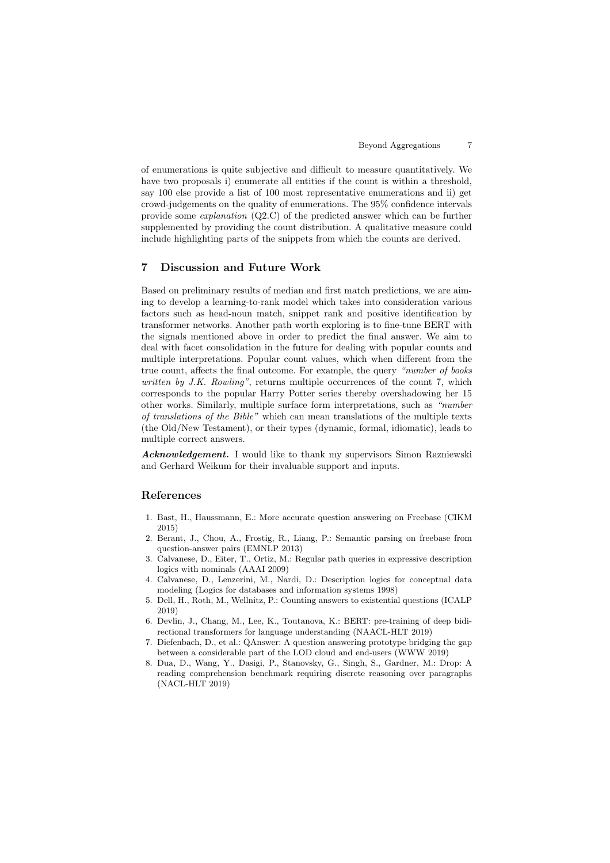of enumerations is quite subjective and dicult to measure quantitatively. We have two proposals i) enumerate all entities if the count is within a threshold, say 100 else provide a list of 100 most representative enumerations and ii) get crowd-judgements on the quality of enumerations. The 95% confidence intervals provide some *explanation* (Q2.C) of the predicted answer which can be further supplemented by providing the count distribution. A qualitative measure could include highlighting parts of the snippets from which the counts are derived.

## 7 Discussion and Future Work

Based on preliminary results of median and first match predictions, we are aiming to develop a learning-to-rank model which takes into consideration various factors such as head-noun match, snippet rank and positive identification by transformer networks. Another path worth exploring is to fine-tune BERT with the signals mentioned above in order to predict the final answer. We aim to deal with facet consolidation in the future for dealing with popular counts and multiple interpretations. Popular count values, which when different from the true count, affects the final outcome. For example, the query *"number of books written by J.K. Rowling"*, returns multiple occurrences of the count 7, which corresponds to the popular Harry Potter series thereby overshadowing her 15 other works. Similarly, multiple surface form interpretations, such as *"number of translations of the Bible"* which can mean translations of the multiple texts (the Old/New Testament), or their types (dynamic, formal, idiomatic), leads to multiple correct answers.

*Acknowledgement.* I would like to thank my supervisors Simon Razniewski and Gerhard Weikum for their invaluable support and inputs.

# References

- 1. Bast, H., Haussmann, E.: More accurate question answering on Freebase (CIKM 2015)
- 2. Berant, J., Chou, A., Frostig, R., Liang, P.: Semantic parsing on freebase from question-answer pairs (EMNLP 2013)
- 3. Calvanese, D., Eiter, T., Ortiz, M.: Regular path queries in expressive description logics with nominals (AAAI 2009)
- 4. Calvanese, D., Lenzerini, M., Nardi, D.: Description logics for conceptual data modeling (Logics for databases and information systems 1998)
- 5. Dell, H., Roth, M., Wellnitz, P.: Counting answers to existential questions (ICALP 2019)
- 6. Devlin, J., Chang, M., Lee, K., Toutanova, K.: BERT: pre-training of deep bidirectional transformers for language understanding (NAACL-HLT 2019)
- 7. Diefenbach, D., et al.: QAnswer: A question answering prototype bridging the gap between a considerable part of the LOD cloud and end-users (WWW 2019)
- 8. Dua, D., Wang, Y., Dasigi, P., Stanovsky, G., Singh, S., Gardner, M.: Drop: A reading comprehension benchmark requiring discrete reasoning over paragraphs (NACL-HLT 2019)